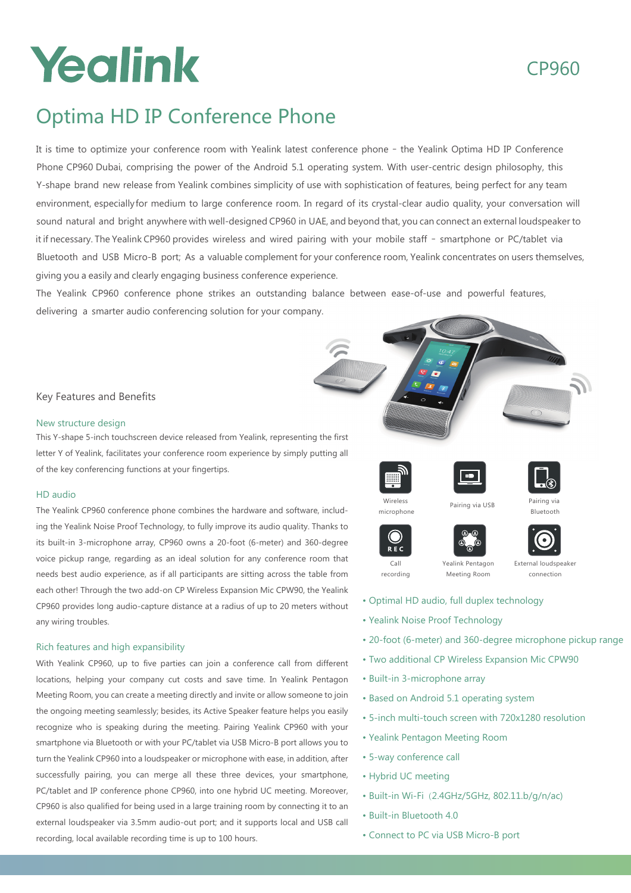## Yealink

## CP960

## Optima HD IP Conference Phone

It is time to optimize your conference room with Yealink latest conference phone – the Yealink Optima HD IP Conference Phone CP960 Dubai, comprising the power of the Android 5.1 operating system. With user-centric design philosophy, this Y-shape brand new release from Yealink combines simplicity of use with sophistication of features, being perfect for any team environment, especiallyfor medium to large conference room. In regard of its crystal-clear audio quality, your conversation will sound natural and bright anywhere with well-designed CP960 in UAE, and beyond that, you can connect an external loudspeaker to it if necessary. The Yealink CP960 provides wireless and wired pairing with your mobile staff – smartphone or PC/tablet via Bluetooth and USB Micro-B port; As a valuable complement for your conference room, Yealink concentrates on users themselves, giving you a easily and clearly engaging business conference experience.

The Yealink CP960 conference phone strikes an outstanding balance between ease-of-use and powerful features, delivering a smarter audio conferencing solution for your company.

#### Key Features and Benefits

#### New structure design

This Y-shape 5-inch touchscreen device released from Yealink, representing the first letter Y of Yealink, facilitates your conference room experience by simply putting all of the key conferencing functions at your fingertips.

#### HD audio

The Yealink CP960 conference phone combines the hardware and software, including the Yealink Noise Proof Technology, to fully improve its audio quality. Thanks to its built-in 3-microphone array, CP960 owns a 20-foot (6-meter) and 360-degree voice pickup range, regarding as an ideal solution for any conference room that needs best audio experience, as if all participants are sitting across the table from each other! Through the two add-on CP Wireless Expansion Mic CPW90, the Yealink CP960 provides long audio-capture distance at a radius of up to 20 meters without any wiring troubles.

#### Rich features and high expansibility

With Yealink CP960, up to five parties can join a conference call from different locations, helping your company cut costs and save time. In Yealink Pentagon Meeting Room, you can create a meeting directly and invite or allow someone to join the ongoing meeting seamlessly; besides, its Active Speaker feature helps you easily recognize who is speaking during the meeting. Pairing Yealink CP960 with your smartphone via Bluetooth or with your PC/tablet via USB Micro-B port allows you to turn the Yealink CP960 into a loudspeaker or microphone with ease, in addition, after successfully pairing, you can merge all these three devices, your smartphone, PC/tablet and IP conference phone CP960, into one hybrid UC meeting. Moreover, CP960 is also qualified for being used in a large training room by connecting it to an external loudspeaker via 3.5mm audio-out port; and it supports local and USB call recording, local available recording time is up to 100 hours.









Wireless microphone

Ő  $R$  F  $C$ 





Pairing via USB

Call recording

Yealink Pentagon Meeting Room

- Optimal HD audio, full duplex technology
- Yealink Noise Proof Technology
- 20-foot (6-meter) and 360-degree microphone pickup range
- Two additional CP Wireless Expansion Mic CPW90
- Built-in 3-microphone array
- Based on Android 5.1 operating system
- 5-inch multi-touch screen with 720x1280 resolution
- Yealink Pentagon Meeting Room
- 5-way conference call
- Hybrid UC meeting
- Built-in Wi-Fi (2.4GHz/5GHz, 802.11.b/g/n/ac)
- Built-in Bluetooth 4.0
- Connect to PC via USB Micro-B port

Pairing via Bluetooth

- External loudspeaker connection
-